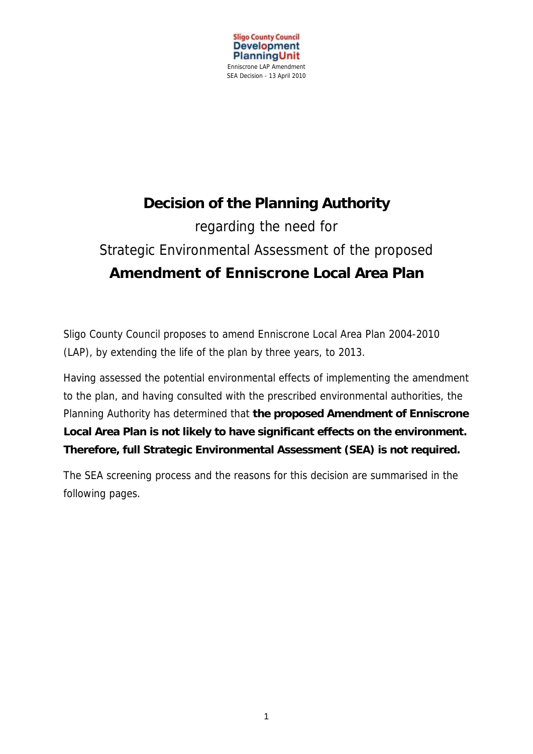

# **Decision of the Planning Authority**  regarding the need for Strategic Environmental Assessment of the proposed **Amendment of Enniscrone Local Area Plan**

Sligo County Council proposes to amend Enniscrone Local Area Plan 2004-2010 (LAP), by extending the life of the plan by three years, to 2013.

Having assessed the potential environmental effects of implementing the amendment to the plan, and having consulted with the prescribed environmental authorities, the Planning Authority has determined that **the proposed Amendment of Enniscrone Local Area Plan is not likely to have significant effects on the environment. Therefore, full Strategic Environmental Assessment (SEA) is not required.**

The SEA screening process and the reasons for this decision are summarised in the following pages.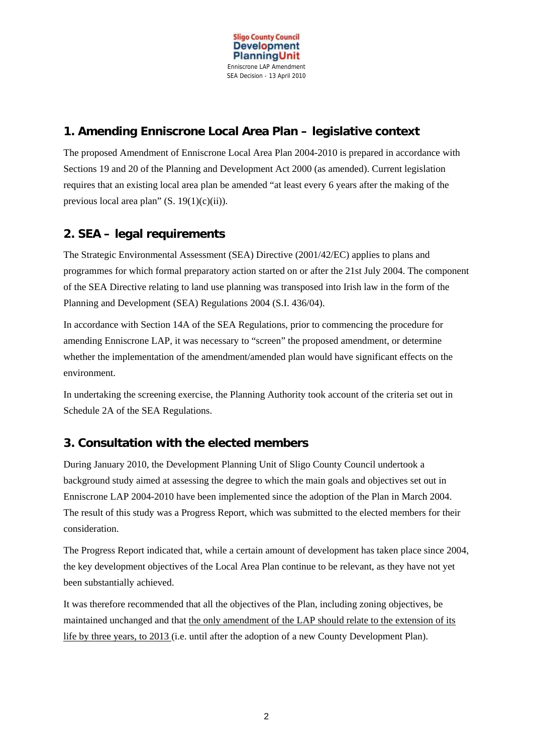

# **1. Amending Enniscrone Local Area Plan – legislative context**

The proposed Amendment of Enniscrone Local Area Plan 2004-2010 is prepared in accordance with Sections 19 and 20 of the Planning and Development Act 2000 (as amended). Current legislation requires that an existing local area plan be amended "at least every 6 years after the making of the previous local area plan"  $(S. 19(1)(c)(ii))$ .

# **2. SEA – legal requirements**

The Strategic Environmental Assessment (SEA) Directive (2001/42/EC) applies to plans and programmes for which formal preparatory action started on or after the 21st July 2004. The component of the SEA Directive relating to land use planning was transposed into Irish law in the form of the Planning and Development (SEA) Regulations 2004 (S.I. 436/04).

In accordance with Section 14A of the SEA Regulations, prior to commencing the procedure for amending Enniscrone LAP, it was necessary to "screen" the proposed amendment, or determine whether the implementation of the amendment/amended plan would have significant effects on the environment.

In undertaking the screening exercise, the Planning Authority took account of the criteria set out in Schedule 2A of the SEA Regulations.

# **3. Consultation with the elected members**

During January 2010, the Development Planning Unit of Sligo County Council undertook a background study aimed at assessing the degree to which the main goals and objectives set out in Enniscrone LAP 2004-2010 have been implemented since the adoption of the Plan in March 2004. The result of this study was a Progress Report, which was submitted to the elected members for their consideration.

The Progress Report indicated that, while a certain amount of development has taken place since 2004, the key development objectives of the Local Area Plan continue to be relevant, as they have not yet been substantially achieved.

It was therefore recommended that all the objectives of the Plan, including zoning objectives, be maintained unchanged and that the only amendment of the LAP should relate to the extension of its life by three years, to 2013 (i.e. until after the adoption of a new County Development Plan).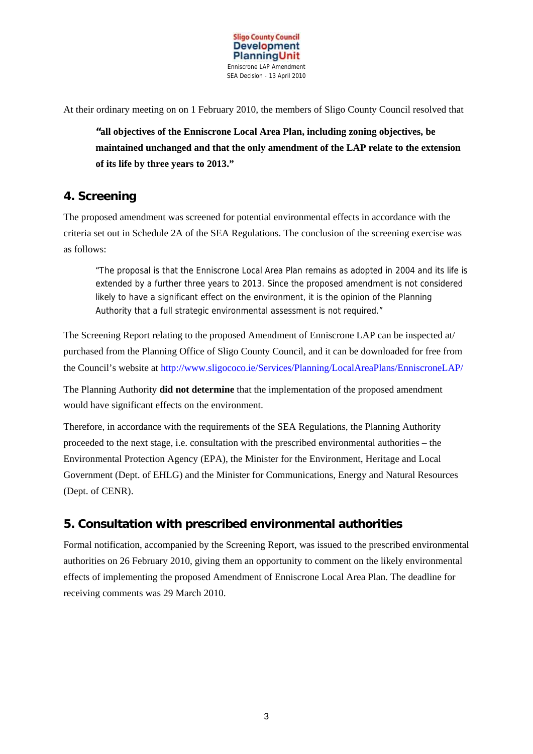

At their ordinary meeting on on 1 February 2010, the members of Sligo County Council resolved that

**"all objectives of the Enniscrone Local Area Plan, including zoning objectives, be maintained unchanged and that the only amendment of the LAP relate to the extension of its life by three years to 2013."**

#### **4. Screening**

The proposed amendment was screened for potential environmental effects in accordance with the criteria set out in Schedule 2A of the SEA Regulations. The conclusion of the screening exercise was as follows:

"The proposal is that the Enniscrone Local Area Plan remains as adopted in 2004 and its life is extended by a further three years to 2013. Since the proposed amendment is not considered likely to have a significant effect on the environment, it is the opinion of the Planning Authority that a full strategic environmental assessment is not required."

The Screening Report relating to the proposed Amendment of Enniscrone LAP can be inspected at/ purchased from the Planning Office of Sligo County Council, and it can be downloaded for free from the Council's website at http://www.sligococo.ie/Services/Planning/LocalAreaPlans/EnniscroneLAP/

The Planning Authority **did not determine** that the implementation of the proposed amendment would have significant effects on the environment.

Therefore, in accordance with the requirements of the SEA Regulations, the Planning Authority proceeded to the next stage, i.e. consultation with the prescribed environmental authorities – the Environmental Protection Agency (EPA), the Minister for the Environment, Heritage and Local Government (Dept. of EHLG) and the Minister for Communications, Energy and Natural Resources (Dept. of CENR).

#### **5. Consultation with prescribed environmental authorities**

Formal notification, accompanied by the Screening Report, was issued to the prescribed environmental authorities on 26 February 2010, giving them an opportunity to comment on the likely environmental effects of implementing the proposed Amendment of Enniscrone Local Area Plan. The deadline for receiving comments was 29 March 2010.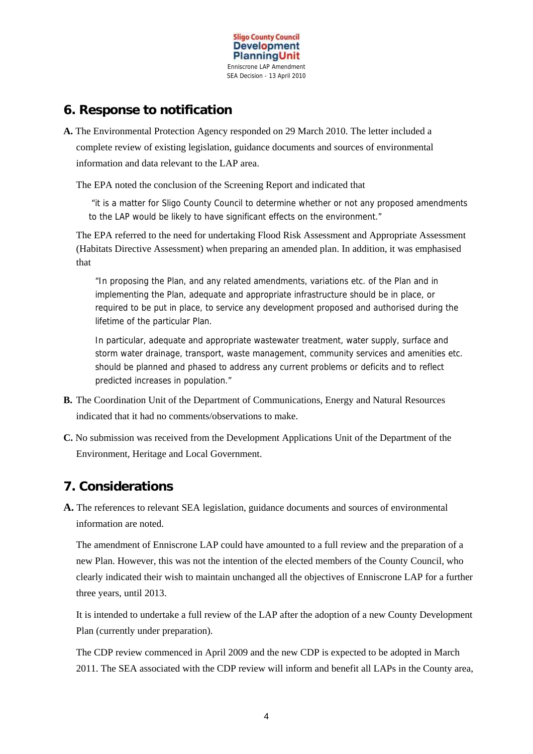

# **6. Response to notification**

**A.** The Environmental Protection Agency responded on 29 March 2010. The letter included a complete review of existing legislation, guidance documents and sources of environmental information and data relevant to the LAP area.

The EPA noted the conclusion of the Screening Report and indicated that

"it is a matter for Sligo County Council to determine whether or not any proposed amendments to the LAP would be likely to have significant effects on the environment."

The EPA referred to the need for undertaking Flood Risk Assessment and Appropriate Assessment (Habitats Directive Assessment) when preparing an amended plan. In addition, it was emphasised that

"In proposing the Plan, and any related amendments, variations etc. of the Plan and in implementing the Plan, adequate and appropriate infrastructure should be in place, or required to be put in place, to service any development proposed and authorised during the lifetime of the particular Plan.

In particular, adequate and appropriate wastewater treatment, water supply, surface and storm water drainage, transport, waste management, community services and amenities etc. should be planned and phased to address any current problems or deficits and to reflect predicted increases in population."

- **B.** The Coordination Unit of the Department of Communications, Energy and Natural Resources indicated that it had no comments/observations to make.
- **C.** No submission was received from the Development Applications Unit of the Department of the Environment, Heritage and Local Government.

# **7. Considerations**

**A.** The references to relevant SEA legislation, guidance documents and sources of environmental information are noted.

The amendment of Enniscrone LAP could have amounted to a full review and the preparation of a new Plan. However, this was not the intention of the elected members of the County Council, who clearly indicated their wish to maintain unchanged all the objectives of Enniscrone LAP for a further three years, until 2013.

It is intended to undertake a full review of the LAP after the adoption of a new County Development Plan (currently under preparation).

The CDP review commenced in April 2009 and the new CDP is expected to be adopted in March 2011. The SEA associated with the CDP review will inform and benefit all LAPs in the County area,